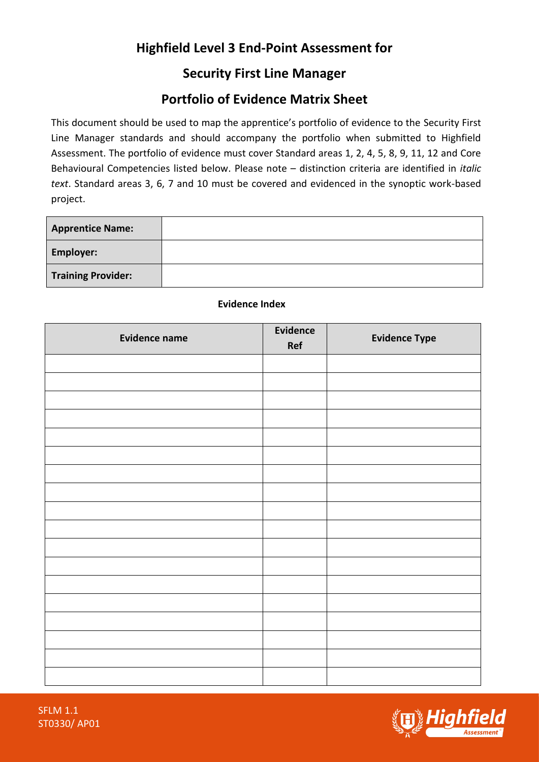# **Highfield Level 3 End-Point Assessment for**

## **Security First Line Manager**

## **Portfolio of Evidence Matrix Sheet**

This document should be used to map the apprentice's portfolio of evidence to the Security First Line Manager standards and should accompany the portfolio when submitted to Highfield Assessment. The portfolio of evidence must cover Standard areas 1, 2, 4, 5, 8, 9, 11, 12 and Core Behavioural Competencies listed below. Please note – distinction criteria are identified in *italic text*. Standard areas 3, 6, 7 and 10 must be covered and evidenced in the synoptic work-based project.

| <b>Apprentice Name:</b>   |  |
|---------------------------|--|
| <b>Employer:</b>          |  |
| <b>Training Provider:</b> |  |

| <b>Evidence name</b> | Evidence<br>Ref | <b>Evidence Type</b> |
|----------------------|-----------------|----------------------|
|                      |                 |                      |
|                      |                 |                      |
|                      |                 |                      |
|                      |                 |                      |
|                      |                 |                      |
|                      |                 |                      |
|                      |                 |                      |
|                      |                 |                      |
|                      |                 |                      |
|                      |                 |                      |
|                      |                 |                      |
|                      |                 |                      |
|                      |                 |                      |
|                      |                 |                      |
|                      |                 |                      |
|                      |                 |                      |
|                      |                 |                      |
|                      |                 |                      |

### **Evidence Index**



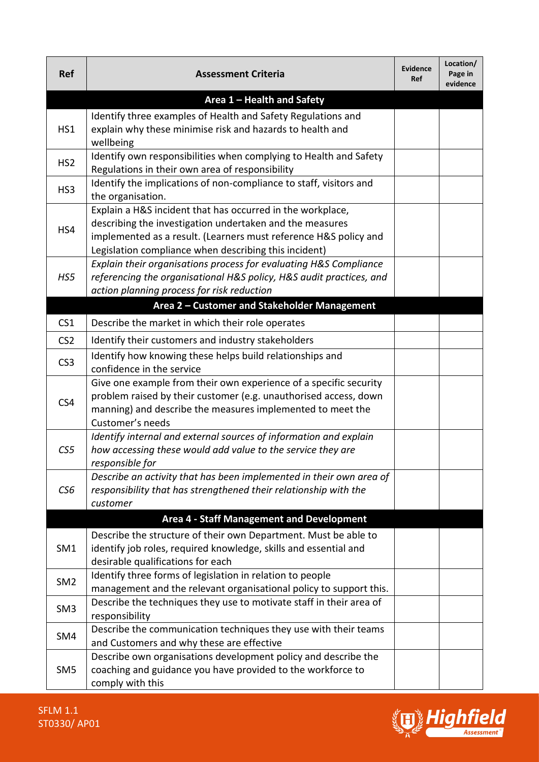| <b>Ref</b>      | <b>Assessment Criteria</b>                                                                                                                                                                                                                          | <b>Evidence</b><br><b>Ref</b> | Location/<br>Page in<br>evidence |  |
|-----------------|-----------------------------------------------------------------------------------------------------------------------------------------------------------------------------------------------------------------------------------------------------|-------------------------------|----------------------------------|--|
|                 | Area 1 - Health and Safety                                                                                                                                                                                                                          |                               |                                  |  |
| HS1             | Identify three examples of Health and Safety Regulations and<br>explain why these minimise risk and hazards to health and<br>wellbeing                                                                                                              |                               |                                  |  |
| HS <sub>2</sub> | Identify own responsibilities when complying to Health and Safety<br>Regulations in their own area of responsibility                                                                                                                                |                               |                                  |  |
| HS <sub>3</sub> | Identify the implications of non-compliance to staff, visitors and<br>the organisation.                                                                                                                                                             |                               |                                  |  |
| HS4             | Explain a H&S incident that has occurred in the workplace,<br>describing the investigation undertaken and the measures<br>implemented as a result. (Learners must reference H&S policy and<br>Legislation compliance when describing this incident) |                               |                                  |  |
| HS5             | Explain their organisations process for evaluating H&S Compliance<br>referencing the organisational H&S policy, H&S audit practices, and<br>action planning process for risk reduction                                                              |                               |                                  |  |
|                 | Area 2 - Customer and Stakeholder Management                                                                                                                                                                                                        |                               |                                  |  |
| CS <sub>1</sub> | Describe the market in which their role operates                                                                                                                                                                                                    |                               |                                  |  |
| CS <sub>2</sub> | Identify their customers and industry stakeholders                                                                                                                                                                                                  |                               |                                  |  |
| CS <sub>3</sub> | Identify how knowing these helps build relationships and<br>confidence in the service                                                                                                                                                               |                               |                                  |  |
| CS4             | Give one example from their own experience of a specific security<br>problem raised by their customer (e.g. unauthorised access, down<br>manning) and describe the measures implemented to meet the<br>Customer's needs                             |                               |                                  |  |
| CS <sub>5</sub> | Identify internal and external sources of information and explain<br>how accessing these would add value to the service they are<br>responsible for                                                                                                 |                               |                                  |  |
| CS6             | Describe an activity that has been implemented in their own area of<br>responsibility that has strengthened their relationship with the<br>customer                                                                                                 |                               |                                  |  |
|                 | <b>Area 4 - Staff Management and Development</b>                                                                                                                                                                                                    |                               |                                  |  |
| SM1             | Describe the structure of their own Department. Must be able to<br>identify job roles, required knowledge, skills and essential and<br>desirable qualifications for each                                                                            |                               |                                  |  |
| SM <sub>2</sub> | Identify three forms of legislation in relation to people<br>management and the relevant organisational policy to support this.                                                                                                                     |                               |                                  |  |
| SM <sub>3</sub> | Describe the techniques they use to motivate staff in their area of<br>responsibility                                                                                                                                                               |                               |                                  |  |
| SM4             | Describe the communication techniques they use with their teams<br>and Customers and why these are effective                                                                                                                                        |                               |                                  |  |
| SM <sub>5</sub> | Describe own organisations development policy and describe the<br>coaching and guidance you have provided to the workforce to<br>comply with this                                                                                                   |                               |                                  |  |

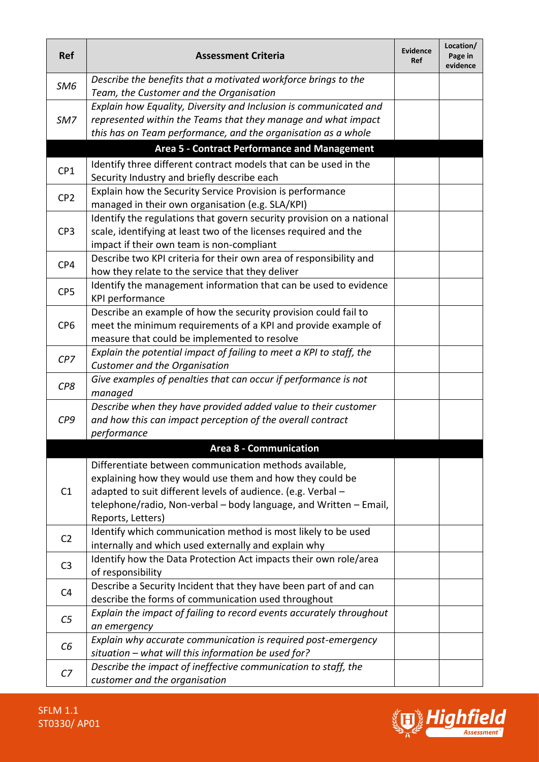| <b>Ref</b>      | <b>Assessment Criteria</b>                                                                                                                                                                                                                                                   | <b>Evidence</b><br>Ref | Location/<br>Page in<br>evidence |
|-----------------|------------------------------------------------------------------------------------------------------------------------------------------------------------------------------------------------------------------------------------------------------------------------------|------------------------|----------------------------------|
| SM <sub>6</sub> | Describe the benefits that a motivated workforce brings to the<br>Team, the Customer and the Organisation                                                                                                                                                                    |                        |                                  |
| SM7             | Explain how Equality, Diversity and Inclusion is communicated and<br>represented within the Teams that they manage and what impact<br>this has on Team performance, and the organisation as a whole                                                                          |                        |                                  |
|                 | Area 5 - Contract Performance and Management                                                                                                                                                                                                                                 |                        |                                  |
| CP1             | Identify three different contract models that can be used in the<br>Security Industry and briefly describe each                                                                                                                                                              |                        |                                  |
| CP <sub>2</sub> | Explain how the Security Service Provision is performance<br>managed in their own organisation (e.g. SLA/KPI)                                                                                                                                                                |                        |                                  |
| CP <sub>3</sub> | Identify the regulations that govern security provision on a national<br>scale, identifying at least two of the licenses required and the<br>impact if their own team is non-compliant                                                                                       |                        |                                  |
| CP4             | Describe two KPI criteria for their own area of responsibility and<br>how they relate to the service that they deliver                                                                                                                                                       |                        |                                  |
| CP <sub>5</sub> | Identify the management information that can be used to evidence<br>KPI performance                                                                                                                                                                                          |                        |                                  |
| CP <sub>6</sub> | Describe an example of how the security provision could fail to<br>meet the minimum requirements of a KPI and provide example of<br>measure that could be implemented to resolve                                                                                             |                        |                                  |
| CPZ             | Explain the potential impact of failing to meet a KPI to staff, the<br>Customer and the Organisation                                                                                                                                                                         |                        |                                  |
| CP8             | Give examples of penalties that can occur if performance is not<br>managed                                                                                                                                                                                                   |                        |                                  |
| CP <sub>9</sub> | Describe when they have provided added value to their customer<br>and how this can impact perception of the overall contract<br>performance                                                                                                                                  |                        |                                  |
|                 | <b>Area 8 - Communication</b>                                                                                                                                                                                                                                                |                        |                                  |
| C1              | Differentiate between communication methods available,<br>explaining how they would use them and how they could be<br>adapted to suit different levels of audience. (e.g. Verbal -<br>telephone/radio, Non-verbal - body language, and Written - Email,<br>Reports, Letters) |                        |                                  |
| C <sub>2</sub>  | Identify which communication method is most likely to be used<br>internally and which used externally and explain why                                                                                                                                                        |                        |                                  |
| C <sub>3</sub>  | Identify how the Data Protection Act impacts their own role/area<br>of responsibility                                                                                                                                                                                        |                        |                                  |
| C <sub>4</sub>  | Describe a Security Incident that they have been part of and can<br>describe the forms of communication used throughout                                                                                                                                                      |                        |                                  |
| C <sub>5</sub>  | Explain the impact of failing to record events accurately throughout<br>an emergency                                                                                                                                                                                         |                        |                                  |
| C6              | Explain why accurate communication is required post-emergency<br>situation - what will this information be used for?                                                                                                                                                         |                        |                                  |
| C <sub>7</sub>  | Describe the impact of ineffective communication to staff, the<br>customer and the organisation                                                                                                                                                                              |                        |                                  |

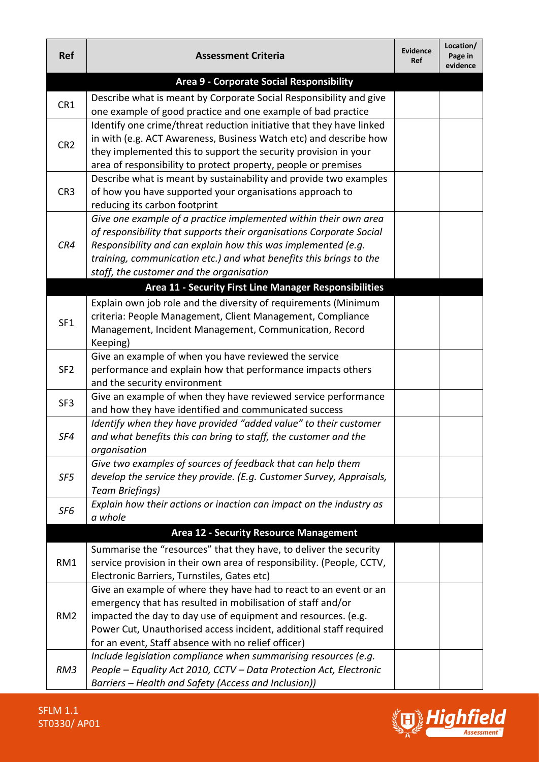| <b>Ref</b>      | <b>Assessment Criteria</b>                                                                                                            | <b>Evidence</b><br>Ref | Location/<br>Page in<br>evidence |
|-----------------|---------------------------------------------------------------------------------------------------------------------------------------|------------------------|----------------------------------|
|                 | Area 9 - Corporate Social Responsibility                                                                                              |                        |                                  |
| CR1             | Describe what is meant by Corporate Social Responsibility and give                                                                    |                        |                                  |
|                 | one example of good practice and one example of bad practice                                                                          |                        |                                  |
| CR <sub>2</sub> | Identify one crime/threat reduction initiative that they have linked                                                                  |                        |                                  |
|                 | in with (e.g. ACT Awareness, Business Watch etc) and describe how                                                                     |                        |                                  |
|                 | they implemented this to support the security provision in your                                                                       |                        |                                  |
|                 | area of responsibility to protect property, people or premises                                                                        |                        |                                  |
|                 | Describe what is meant by sustainability and provide two examples                                                                     |                        |                                  |
| CR <sub>3</sub> | of how you have supported your organisations approach to                                                                              |                        |                                  |
|                 | reducing its carbon footprint                                                                                                         |                        |                                  |
|                 | Give one example of a practice implemented within their own area                                                                      |                        |                                  |
| CR4             | of responsibility that supports their organisations Corporate Social<br>Responsibility and can explain how this was implemented (e.g. |                        |                                  |
|                 | training, communication etc.) and what benefits this brings to the                                                                    |                        |                                  |
|                 | staff, the customer and the organisation                                                                                              |                        |                                  |
|                 | Area 11 - Security First Line Manager Responsibilities                                                                                |                        |                                  |
|                 | Explain own job role and the diversity of requirements (Minimum                                                                       |                        |                                  |
|                 | criteria: People Management, Client Management, Compliance                                                                            |                        |                                  |
| SF1             | Management, Incident Management, Communication, Record                                                                                |                        |                                  |
|                 | Keeping)                                                                                                                              |                        |                                  |
|                 | Give an example of when you have reviewed the service                                                                                 |                        |                                  |
| SF <sub>2</sub> | performance and explain how that performance impacts others                                                                           |                        |                                  |
|                 | and the security environment                                                                                                          |                        |                                  |
|                 | Give an example of when they have reviewed service performance                                                                        |                        |                                  |
| SF <sub>3</sub> | and how they have identified and communicated success                                                                                 |                        |                                  |
|                 | Identify when they have provided "added value" to their customer                                                                      |                        |                                  |
| SF4             | and what benefits this can bring to staff, the customer and the                                                                       |                        |                                  |
|                 | organisation                                                                                                                          |                        |                                  |
|                 | Give two examples of sources of feedback that can help them                                                                           |                        |                                  |
| SF5             | develop the service they provide. (E.g. Customer Survey, Appraisals,                                                                  |                        |                                  |
|                 | <b>Team Briefings)</b>                                                                                                                |                        |                                  |
| SF6             | Explain how their actions or inaction can impact on the industry as                                                                   |                        |                                  |
|                 | a whole                                                                                                                               |                        |                                  |
|                 | <b>Area 12 - Security Resource Management</b>                                                                                         |                        |                                  |
|                 | Summarise the "resources" that they have, to deliver the security                                                                     |                        |                                  |
| RM1             | service provision in their own area of responsibility. (People, CCTV,                                                                 |                        |                                  |
|                 | Electronic Barriers, Turnstiles, Gates etc)                                                                                           |                        |                                  |
|                 | Give an example of where they have had to react to an event or an                                                                     |                        |                                  |
|                 | emergency that has resulted in mobilisation of staff and/or                                                                           |                        |                                  |
| RM <sub>2</sub> | impacted the day to day use of equipment and resources. (e.g.                                                                         |                        |                                  |
|                 | Power Cut, Unauthorised access incident, additional staff required                                                                    |                        |                                  |
|                 | for an event, Staff absence with no relief officer)                                                                                   |                        |                                  |
| RM3             | Include legislation compliance when summarising resources (e.g.<br>People - Equality Act 2010, CCTV - Data Protection Act, Electronic |                        |                                  |
|                 | Barriers - Health and Safety (Access and Inclusion))                                                                                  |                        |                                  |
|                 |                                                                                                                                       |                        |                                  |